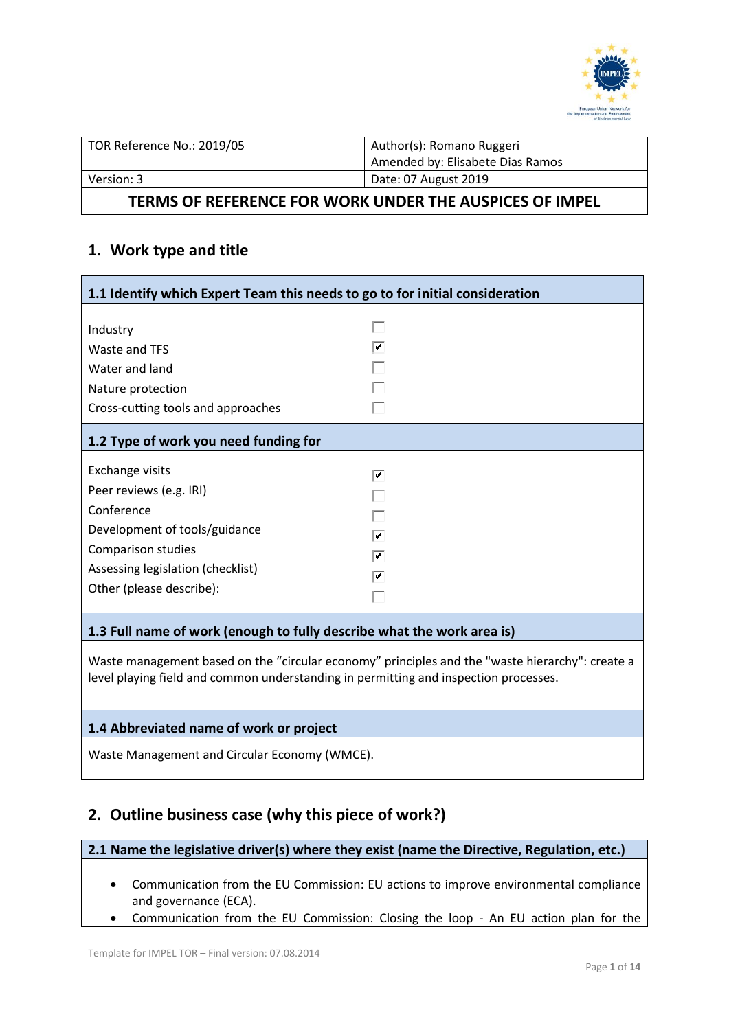

| TOR Reference No.: 2019/05 | Author(s): Romano Ruggeri<br>Amended by: Elisabete Dias Ramos |
|----------------------------|---------------------------------------------------------------|
| Version: 3                 | Date: 07 August 2019                                          |

# **TERMS OF REFERENCE FOR WORK UNDER THE AUSPICES OF IMPEL**

# **1. Work type and title**

| 1.1 Identify which Expert Team this needs to go to for initial consideration                                                                                                            |                       |  |  |  |
|-----------------------------------------------------------------------------------------------------------------------------------------------------------------------------------------|-----------------------|--|--|--|
| Industry<br>Waste and TFS<br>Water and land<br>Nature protection<br>Cross-cutting tools and approaches                                                                                  | U<br>⊽<br>L<br>Г      |  |  |  |
| 1.2 Type of work you need funding for                                                                                                                                                   |                       |  |  |  |
| <b>Exchange visits</b><br>Peer reviews (e.g. IRI)<br>Conference<br>Development of tools/guidance<br>Comparison studies<br>Assessing legislation (checklist)<br>Other (please describe): | ⊽<br>L<br>⊽<br>⊽<br>⊽ |  |  |  |

# **1.3 Full name of work (enough to fully describe what the work area is)**

Waste management based on the "circular economy" principles and the ["waste hierarchy"](http://ec.europa.eu/environment/waste/framework/): create a level playing field and common understanding in permitting and inspection processes.

## **1.4 Abbreviated name of work or project**

Waste Management and Circular Economy (WMCE).

# **2. Outline business case (why this piece of work?)**

# **2.1 Name the legislative driver(s) where they exist (name the Directive, Regulation, etc.)**

- Communication from the EU Commission: EU actions to improve environmental compliance and governance (ECA).
- Communication from the EU Commission: Closing the loop An EU action plan for the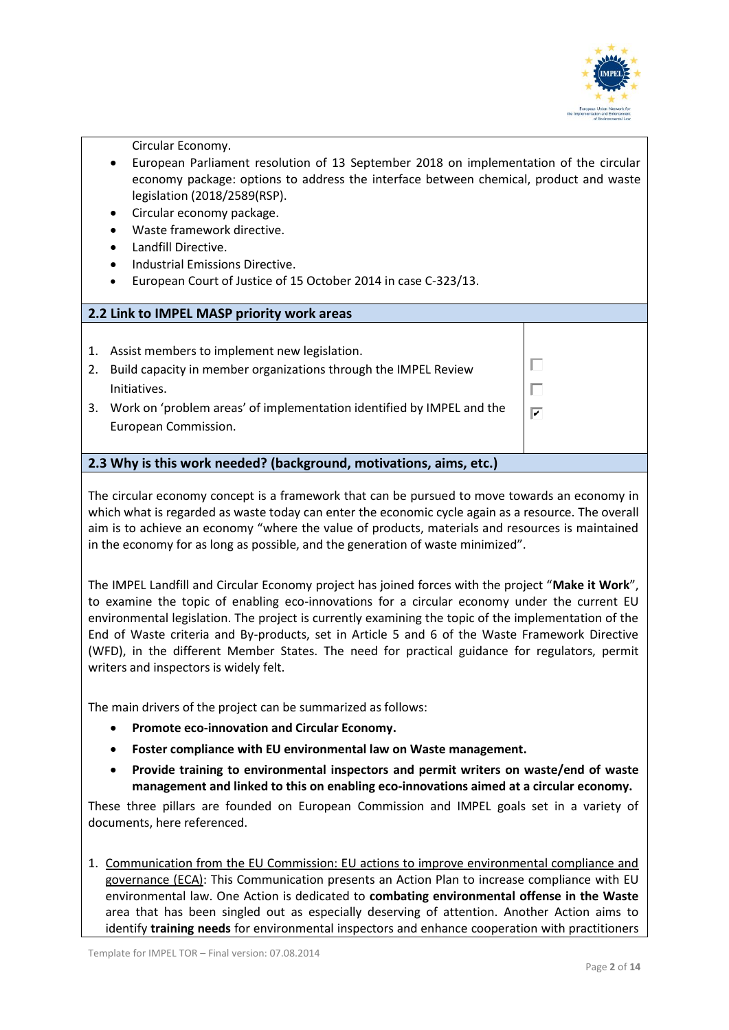

 $\Box$ 

 $\overline{\mathbf{v}}$ 

Circular Economy.

- European Parliament resolution of 13 September 2018 on implementation of the circular economy package: options to address the interface between chemical, product and waste legislation (2018/2589(RSP).
- Circular economy package.
- Waste framework directive.
- Landfill Directive.
- Industrial Emissions Directive.
- European Court of Justice of 15 October 2014 in case C-323/13.

# **2.2 Link to IMPEL MASP priority work areas**

- 1. Assist members to implement new legislation.
- 2. Build capacity in member organizations through the IMPEL Review Initiatives.
- 3. Work on 'problem areas' of implementation identified by IMPEL and the European Commission.

## **2.3 Why is this work needed? (background, motivations, aims, etc.)**

The circular economy concept is a framework that can be pursued to move towards an economy in which what is regarded as waste today can enter the economic cycle again as a resource. The overall aim is to achieve an economy "where the value of products, materials and resources is maintained in the economy for as long as possible, and the generation of waste minimized".

The IMPEL Landfill and Circular Economy project has joined forces with the project "**Make it Work**", to examine the topic of enabling eco-innovations for a circular economy under the current EU environmental legislation. The project is currently examining the topic of the implementation of the End of Waste criteria and By-products, set in Article 5 and 6 of the Waste Framework Directive (WFD), in the different Member States. The need for practical guidance for regulators, permit writers and inspectors is widely felt.

The main drivers of the project can be summarized as follows:

- **Promote eco-innovation and Circular Economy.**
- **Foster compliance with EU environmental law on Waste management.**
- **Provide training to environmental inspectors and permit writers on waste/end of waste management and linked to this on enabling eco-innovations aimed at a circular economy.**

These three pillars are founded on European Commission and IMPEL goals set in a variety of documents, here referenced.

1. Communication from the EU Commission: EU actions to improve environmental compliance and governance (ECA): This Communication presents an Action Plan to increase compliance with EU environmental law. One Action is dedicated to **combating environmental offense in the Waste** area that has been singled out as especially deserving of attention. Another Action aims to identify **training needs** for environmental inspectors and enhance cooperation with practitioners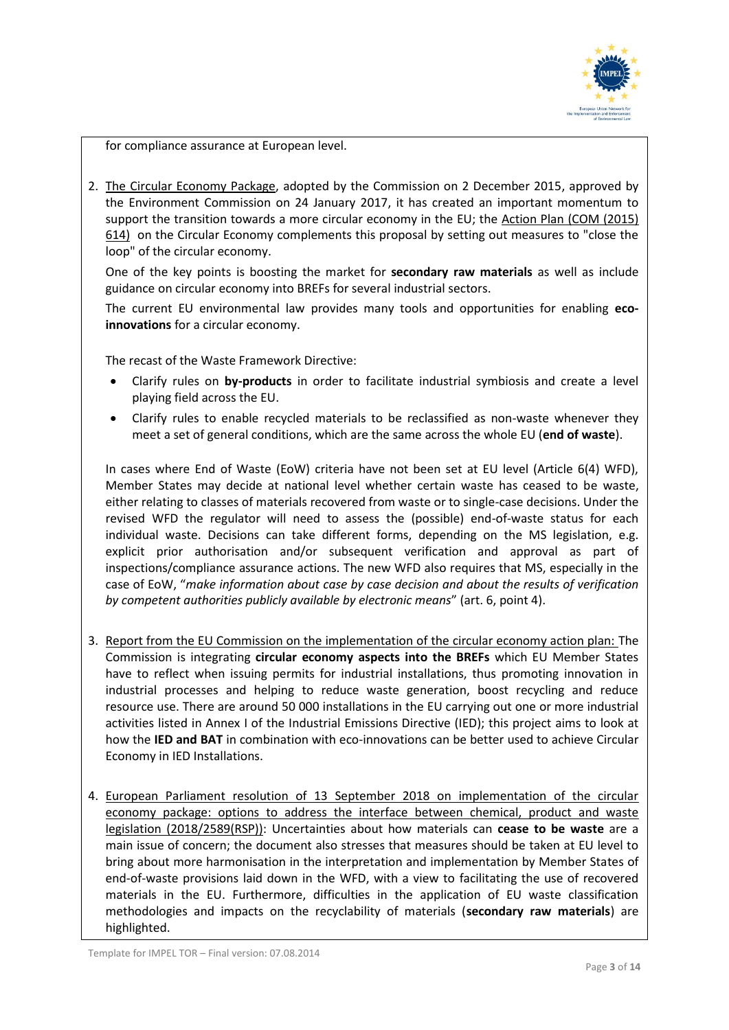

for compliance assurance at European level.

2. The Circular Economy Package, adopted by the Commission on 2 December 2015, approved by the Environment Commission on 24 January 2017, it has created an important momentum to support the transition towards a more circular economy in the EU; the Action Plan (COM (2015) 614) on the Circular Economy complements this proposal by setting out measures to "close the loop" of the circular economy.

One of the key points is boosting the market for **secondary raw materials** as well as include guidance on circular economy into BREFs for several industrial sectors.

The current EU environmental law provides many tools and opportunities for enabling **ecoinnovations** for a circular economy.

The recast of the Waste Framework Directive:

- Clarify rules on **by-products** in order to facilitate industrial symbiosis and create a level playing field across the EU.
- Clarify rules to enable recycled materials to be reclassified as non-waste whenever they meet a set of general conditions, which are the same across the whole EU (**end of waste**).

In cases where End of Waste (EoW) criteria have not been set at EU level (Article 6(4) WFD), Member States may decide at national level whether certain waste has ceased to be waste, either relating to classes of materials recovered from waste or to single-case decisions. Under the revised WFD the regulator will need to assess the (possible) end-of-waste status for each individual waste. Decisions can take different forms, depending on the MS legislation, e.g. explicit prior authorisation and/or subsequent verification and approval as part of inspections/compliance assurance actions. The new WFD also requires that MS, especially in the case of EoW, "*make information about case by case decision and about the results of verification by competent authorities publicly available by electronic means*" (art. 6, point 4).

- 3. Report from the EU Commission on the implementation of the circular economy action plan: The Commission is integrating **circular economy aspects into the BREFs** which EU Member States have to reflect when issuing permits for industrial installations, thus promoting innovation in industrial processes and helping to reduce waste generation, boost recycling and reduce resource use. There are around 50 000 installations in the EU carrying out one or more industrial activities listed in Annex I of the Industrial Emissions Directive (IED); this project aims to look at how the **IED and BAT** in combination with eco-innovations can be better used to achieve Circular Economy in IED Installations.
- 4. European Parliament resolution of 13 September 2018 on implementation of the circular economy package: options to address the interface between chemical, product and waste legislation (2018/2589(RSP)): Uncertainties about how materials can **cease to be waste** are a main issue of concern; the document also stresses that measures should be taken at EU level to bring about more harmonisation in the interpretation and implementation by Member States of end-of-waste provisions laid down in the WFD, with a view to facilitating the use of recovered materials in the EU. Furthermore, difficulties in the application of EU waste classification methodologies and impacts on the recyclability of materials (**secondary raw materials**) are highlighted.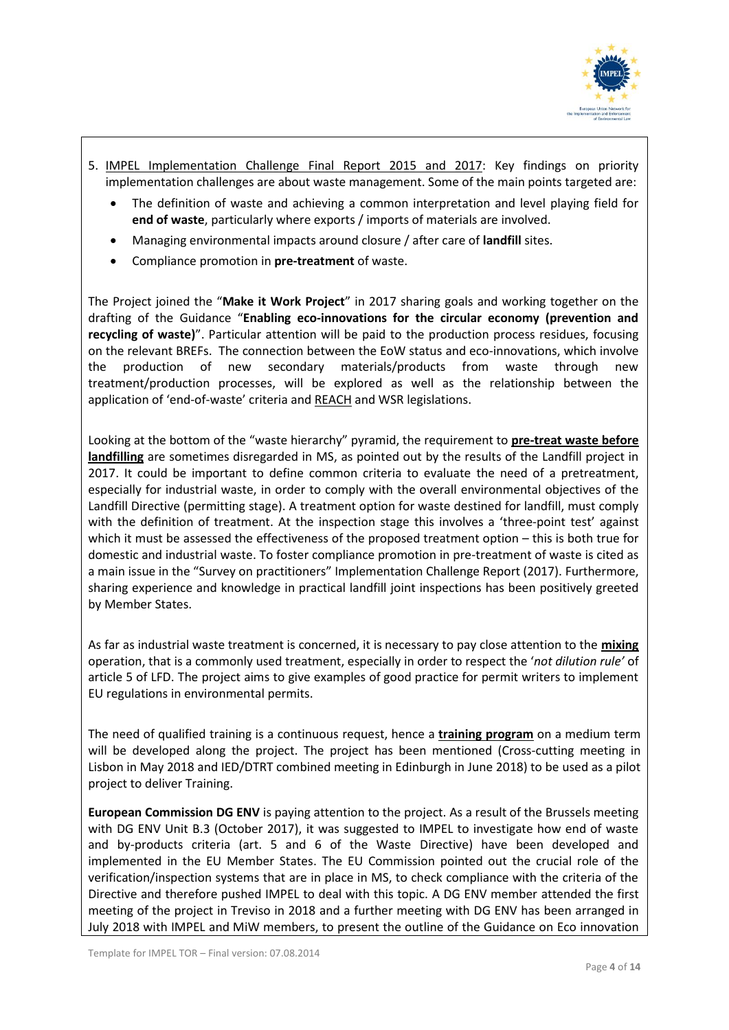

- 5. IMPEL Implementation Challenge Final Report 2015 and 2017: Key findings on priority implementation challenges are about waste management. Some of the main points targeted are:
	- The definition of waste and achieving a common interpretation and level playing field for **end of waste**, particularly where exports / imports of materials are involved.
	- Managing environmental impacts around closure / after care of **landfill** sites.
	- Compliance promotion in **pre-treatment** of waste.

The Project joined the "**Make it Work Project**" in 2017 sharing goals and working together on the drafting of the Guidance "**Enabling eco-innovations for the circular economy (prevention and recycling of waste)**". Particular attention will be paid to the production process residues, focusing on the relevant BREFs. The connection between the EoW status and eco-innovations, which involve the production of new secondary materials/products from waste through new treatment/production processes, will be explored as well as the relationship between the application of 'end-of-waste' criteria and REACH and WSR legislations.

Looking at the bottom of the "waste hierarchy" pyramid, the requirement to **pre-treat waste before landfilling** are sometimes disregarded in MS, as pointed out by the results of the Landfill project in 2017. It could be important to define common criteria to evaluate the need of a pretreatment, especially for industrial waste, in order to comply with the overall environmental objectives of the Landfill Directive (permitting stage). A treatment option for waste destined for landfill, must comply with the definition of treatment. At the inspection stage this involves a 'three-point test' against which it must be assessed the effectiveness of the proposed treatment option – this is both true for domestic and industrial waste. To foster compliance promotion in pre-treatment of waste is cited as a main issue in the "Survey on practitioners" Implementation Challenge Report (2017). Furthermore, sharing experience and knowledge in practical landfill joint inspections has been positively greeted by Member States.

As far as industrial waste treatment is concerned, it is necessary to pay close attention to the **mixing** operation, that is a commonly used treatment, especially in order to respect the '*not dilution rule'* of article 5 of LFD. The project aims to give examples of good practice for permit writers to implement EU regulations in environmental permits.

The need of qualified training is a continuous request, hence a **training program** on a medium term will be developed along the project. The project has been mentioned (Cross-cutting meeting in Lisbon in May 2018 and IED/DTRT combined meeting in Edinburgh in June 2018) to be used as a pilot project to deliver Training.

**European Commission DG ENV** is paying attention to the project. As a result of the Brussels meeting with DG ENV Unit B.3 (October 2017), it was suggested to IMPEL to investigate how end of waste and by-products criteria (art. 5 and 6 of the Waste Directive) have been developed and implemented in the EU Member States. The EU Commission pointed out the crucial role of the verification/inspection systems that are in place in MS, to check compliance with the criteria of the Directive and therefore pushed IMPEL to deal with this topic. A DG ENV member attended the first meeting of the project in Treviso in 2018 and a further meeting with DG ENV has been arranged in July 2018 with IMPEL and MiW members, to present the outline of the Guidance on Eco innovation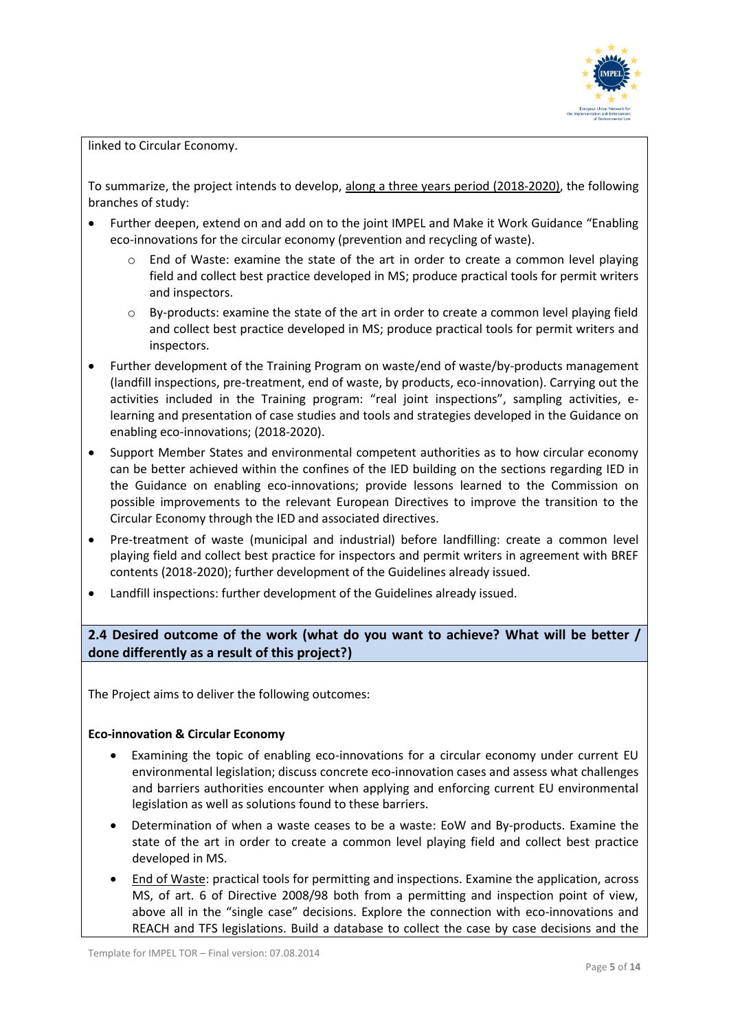

linked to Circular Economy.

To summarize, the project intends to develop, along a three years period (2018-2020), the following branches of study:

- Further deepen, extend on and add on to the joint IMPEL and Make it Work Guidance "Enabling eco-innovations for the circular economy (prevention and recycling of waste).
	- o End of Waste: examine the state of the art in order to create a common level playing field and collect best practice developed in MS; produce practical tools for permit writers and inspectors.
	- o By-products: examine the state of the art in order to create a common level playing field and collect best practice developed in MS; produce practical tools for permit writers and inspectors.
- Further development of the Training Program on waste/end of waste/by-products management (landfill inspections, pre-treatment, end of waste, by products, eco-innovation). Carrying out the activities included in the Training program: "real joint inspections", sampling activities, elearning and presentation of case studies and tools and strategies developed in the Guidance on enabling eco-innovations; (2018-2020).
- Support Member States and environmental competent authorities as to how circular economy can be better achieved within the confines of the IED building on the sections regarding IED in the Guidance on enabling eco-innovations; provide lessons learned to the Commission on possible improvements to the relevant European Directives to improve the transition to the Circular Economy through the IED and associated directives.
- Pre-treatment of waste (municipal and industrial) before landfilling: create a common level playing field and collect best practice for inspectors and permit writers in agreement with BREF contents (2018-2020); further development of the Guidelines already issued.
- Landfill inspections: further development of the Guidelines already issued.

**2.4 Desired outcome of the work (what do you want to achieve? What will be better / done differently as a result of this project?)**

The Project aims to deliver the following outcomes:

#### **Eco-innovation & Circular Economy**

- Examining the topic of enabling eco-innovations for a circular economy under current EU environmental legislation; discuss concrete eco-innovation cases and assess what challenges and barriers authorities encounter when applying and enforcing current EU environmental legislation as well as solutions found to these barriers.
- Determination of when a waste ceases to be a waste: EoW and By-products. Examine the state of the art in order to create a common level playing field and collect best practice developed in MS.
- End of Waste: practical tools for permitting and inspections. Examine the application, across MS, of art. 6 of Directive 2008/98 both from a permitting and inspection point of view, above all in the "single case" decisions. Explore the connection with eco-innovations and REACH and TFS legislations. Build a database to collect the case by case decisions and the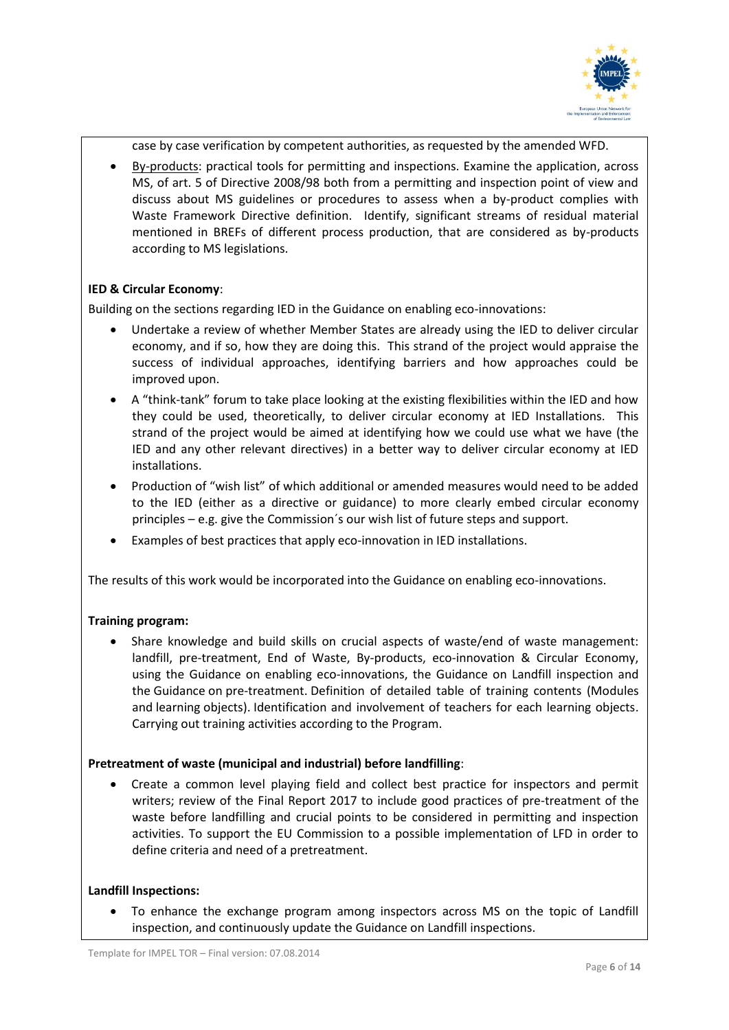

case by case verification by competent authorities, as requested by the amended WFD.

• By-products: practical tools for permitting and inspections. Examine the application, across MS, of art. 5 of Directive 2008/98 both from a permitting and inspection point of view and discuss about MS guidelines or procedures to assess when a by-product complies with Waste Framework Directive definition. Identify, significant streams of residual material mentioned in BREFs of different process production, that are considered as by-products according to MS legislations.

## **IED & Circular Economy**:

Building on the sections regarding IED in the Guidance on enabling eco-innovations:

- Undertake a review of whether Member States are already using the IED to deliver circular economy, and if so, how they are doing this. This strand of the project would appraise the success of individual approaches, identifying barriers and how approaches could be improved upon.
- A "think-tank" forum to take place looking at the existing flexibilities within the IED and how they could be used, theoretically, to deliver circular economy at IED Installations. This strand of the project would be aimed at identifying how we could use what we have (the IED and any other relevant directives) in a better way to deliver circular economy at IED installations.
- Production of "wish list" of which additional or amended measures would need to be added to the IED (either as a directive or guidance) to more clearly embed circular economy principles – e.g. give the Commission´s our wish list of future steps and support.
- Examples of best practices that apply eco-innovation in IED installations.

The results of this work would be incorporated into the Guidance on enabling eco-innovations.

#### **Training program:**

• Share knowledge and build skills on crucial aspects of waste/end of waste management: landfill, pre-treatment, End of Waste, By-products, eco-innovation & Circular Economy, using the Guidance on enabling eco-innovations, the Guidance on Landfill inspection and the Guidance on pre-treatment. Definition of detailed table of training contents (Modules and learning objects). Identification and involvement of teachers for each learning objects. Carrying out training activities according to the Program.

#### **Pretreatment of waste (municipal and industrial) before landfilling**:

• Create a common level playing field and collect best practice for inspectors and permit writers; review of the Final Report 2017 to include good practices of pre-treatment of the waste before landfilling and crucial points to be considered in permitting and inspection activities. To support the EU Commission to a possible implementation of LFD in order to define criteria and need of a pretreatment.

#### **Landfill Inspections:**

• To enhance the exchange program among inspectors across MS on the topic of Landfill inspection, and continuously update the Guidance on Landfill inspections.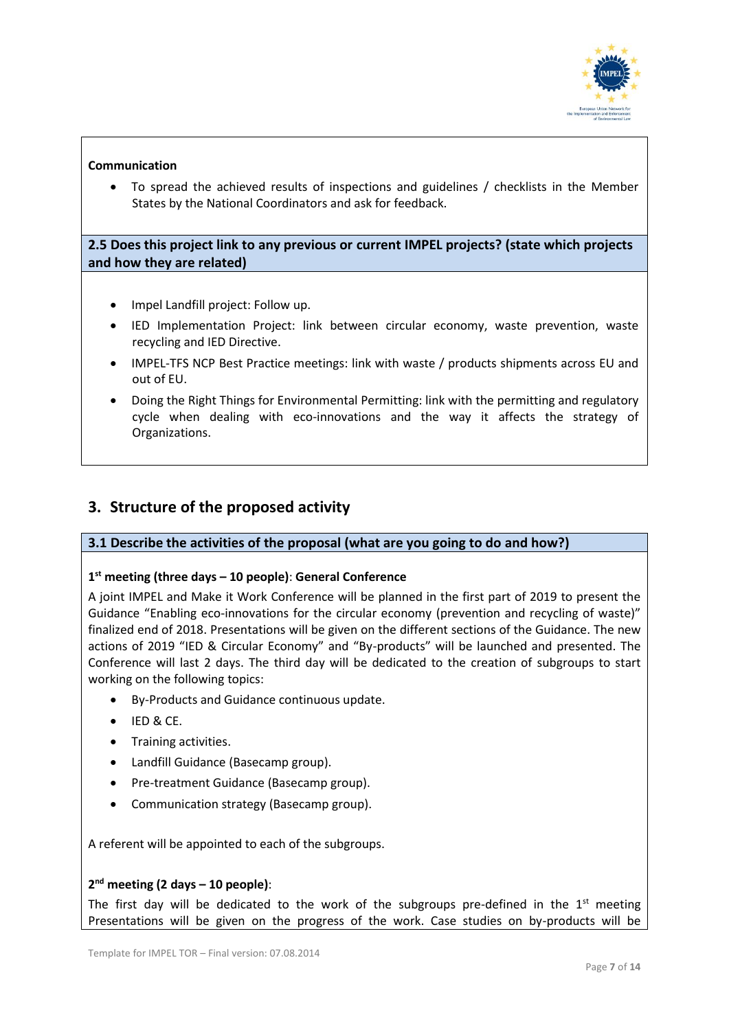

## **Communication**

• To spread the achieved results of inspections and guidelines / checklists in the Member States by the National Coordinators and ask for feedback.

# **2.5 Does this project link to any previous or current IMPEL projects? (state which projects and how they are related)**

- Impel Landfill project: Follow up.
- IED Implementation Project: link between circular economy, waste prevention, waste recycling and IED Directive.
- [IMPEL-TFS NCP Best Practice meetings:](https://www.impel.eu/projects/impel-tfs-ncp-best-practice-meeting-2015/) link with waste / products shipments across EU and out of EU.
- Doing [the Right Things for Environmental Permitting:](https://www.impel.eu/projects/doing-the-right-things-for-environmental-permitting/) link with the permitting and regulatory cycle when dealing with eco-innovations and the way it affects the strategy of Organizations.

# **3. Structure of the proposed activity**

#### **3.1 Describe the activities of the proposal (what are you going to do and how?)**

#### **1 st meeting (three days – 10 people)**: **General Conference**

A joint IMPEL and Make it Work Conference will be planned in the first part of 2019 to present the Guidance "Enabling eco-innovations for the circular economy (prevention and recycling of waste)" finalized end of 2018. Presentations will be given on the different sections of the Guidance. The new actions of 2019 "IED & Circular Economy" and "By-products" will be launched and presented. The Conference will last 2 days. The third day will be dedicated to the creation of subgroups to start working on the following topics:

- By-Products and Guidance continuous update.
- IED & CE.
- Training activities.
- Landfill Guidance (Basecamp group).
- Pre-treatment Guidance (Basecamp group).
- Communication strategy (Basecamp group).

A referent will be appointed to each of the subgroups.

#### **2 nd meeting (2 days – 10 people)**:

The first day will be dedicated to the work of the subgroups pre-defined in the  $1<sup>st</sup>$  meeting Presentations will be given on the progress of the work. Case studies on by-products will be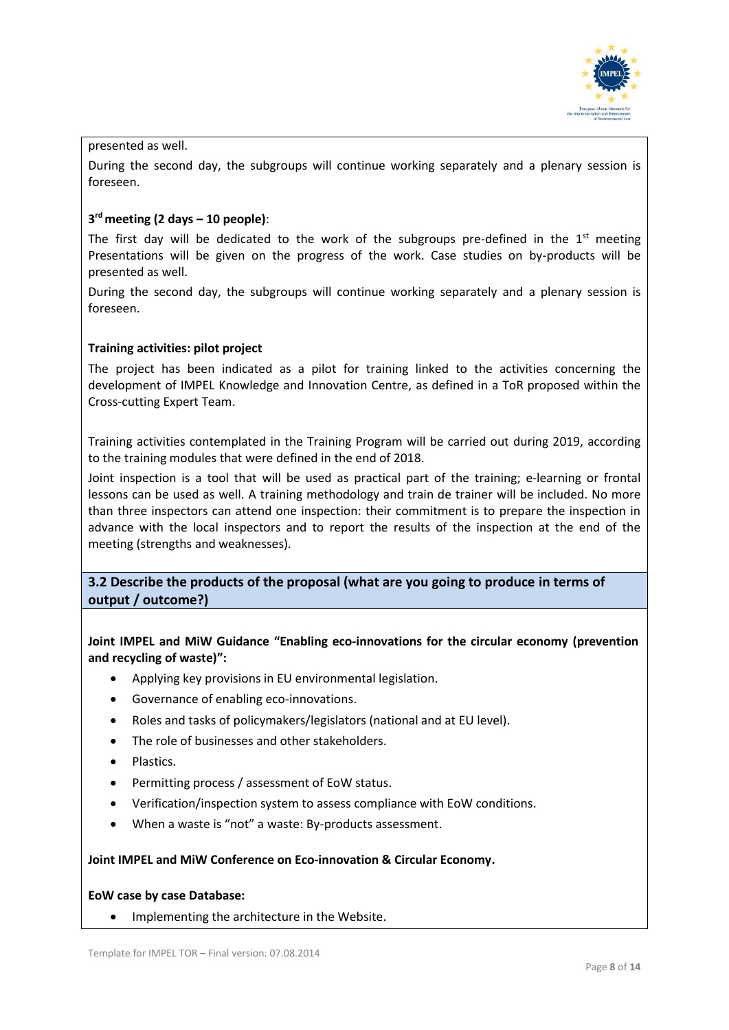

#### presented as well.

During the second day, the subgroups will continue working separately and a plenary session is foreseen.

# **3 rd meeting (2 days – 10 people)**:

The first day will be dedicated to the work of the subgroups pre-defined in the  $1<sup>st</sup>$  meeting Presentations will be given on the progress of the work. Case studies on by-products will be presented as well.

During the second day, the subgroups will continue working separately and a plenary session is foreseen.

#### **Training activities: pilot project**

The project has been indicated as a pilot for training linked to the activities concerning the development of IMPEL Knowledge and Innovation Centre, as defined in a ToR proposed within the Cross-cutting Expert Team.

Training activities contemplated in the Training Program will be carried out during 2019, according to the training modules that were defined in the end of 2018.

Joint inspection is a tool that will be used as practical part of the training; e-learning or frontal lessons can be used as well. A training methodology and train de trainer will be included. No more than three inspectors can attend one inspection: their commitment is to prepare the inspection in advance with the local inspectors and to report the results of the inspection at the end of the meeting (strengths and weaknesses).

# **3.2 Describe the products of the proposal (what are you going to produce in terms of output / outcome?)**

**Joint IMPEL and MiW Guidance "Enabling eco-innovations for the circular economy (prevention and recycling of waste)":**

- Applying key provisions in EU environmental legislation.
- Governance of enabling eco-innovations.
- Roles and tasks of policymakers/legislators (national and at EU level).
- The role of businesses and other stakeholders.
- Plastics.
- Permitting process / assessment of EoW status.
- Verification/inspection system to assess compliance with EoW conditions.
- When a waste is "not" a waste: By-products assessment.

#### **Joint IMPEL and MiW Conference on Eco-innovation & Circular Economy.**

#### **EoW case by case Database:**

• Implementing the architecture in the Website.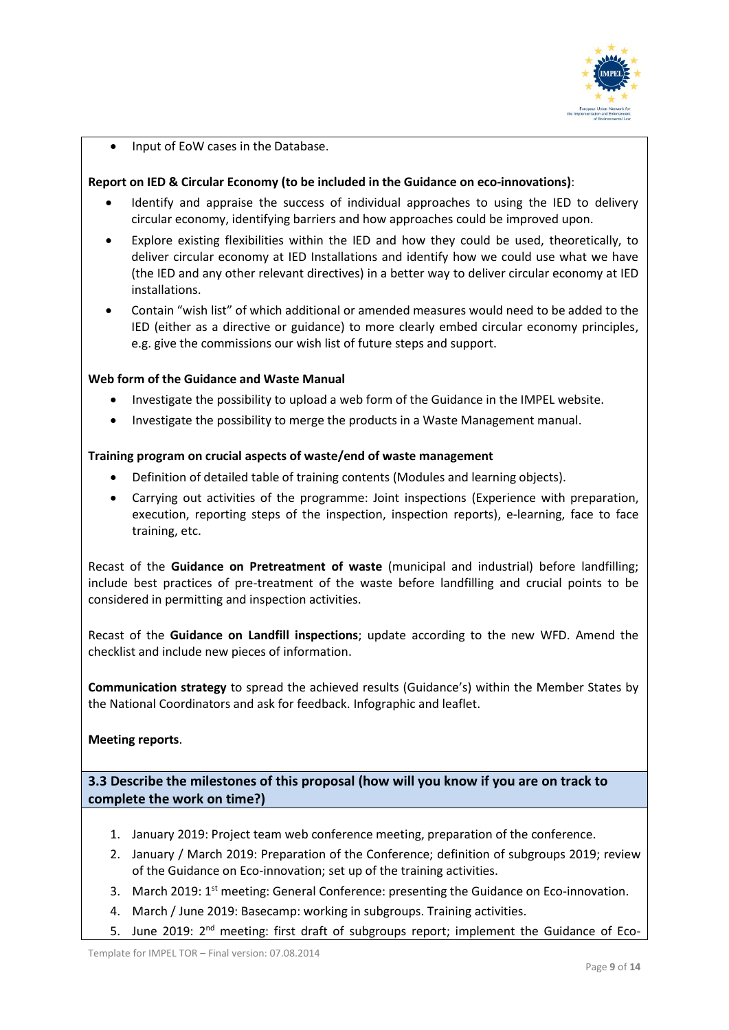

• Input of EoW cases in the Database.

## **Report on IED & Circular Economy (to be included in the Guidance on eco-innovations)**:

- Identify and appraise the success of individual approaches to using the IED to delivery circular economy, identifying barriers and how approaches could be improved upon.
- Explore existing flexibilities within the IED and how they could be used, theoretically, to deliver circular economy at IED Installations and identify how we could use what we have (the IED and any other relevant directives) in a better way to deliver circular economy at IED installations.
- Contain "wish list" of which additional or amended measures would need to be added to the IED (either as a directive or guidance) to more clearly embed circular economy principles, e.g. give the commissions our wish list of future steps and support.

#### **Web form of the Guidance and Waste Manual**

- Investigate the possibility to upload a web form of the Guidance in the IMPEL website.
- Investigate the possibility to merge the products in a Waste Management manual.

#### **Training program on crucial aspects of waste/end of waste management**

- Definition of detailed table of training contents (Modules and learning objects).
- Carrying out activities of the programme: Joint inspections (Experience with preparation, execution, reporting steps of the inspection, inspection reports), e-learning, face to face training, etc.

Recast of the **Guidance on Pretreatment of waste** (municipal and industrial) before landfilling; include best practices of pre-treatment of the waste before landfilling and crucial points to be considered in permitting and inspection activities.

Recast of the **Guidance on Landfill inspections**; update according to the new WFD. Amend the checklist and include new pieces of information.

**Communication strategy** to spread the achieved results (Guidance's) within the Member States by the National Coordinators and ask for feedback. Infographic and leaflet.

**Meeting reports**.

**3.3 Describe the milestones of this proposal (how will you know if you are on track to complete the work on time?)**

- 1. January 2019: Project team web conference meeting, preparation of the conference.
- 2. January / March 2019: Preparation of the Conference; definition of subgroups 2019; review of the Guidance on Eco-innovation; set up of the training activities.
- 3. March 2019: 1<sup>st</sup> meeting: General Conference: presenting the Guidance on Eco-innovation.
- 4. March / June 2019: Basecamp: working in subgroups. Training activities.
- 5. June 2019: 2<sup>nd</sup> meeting: first draft of subgroups report; implement the Guidance of Eco-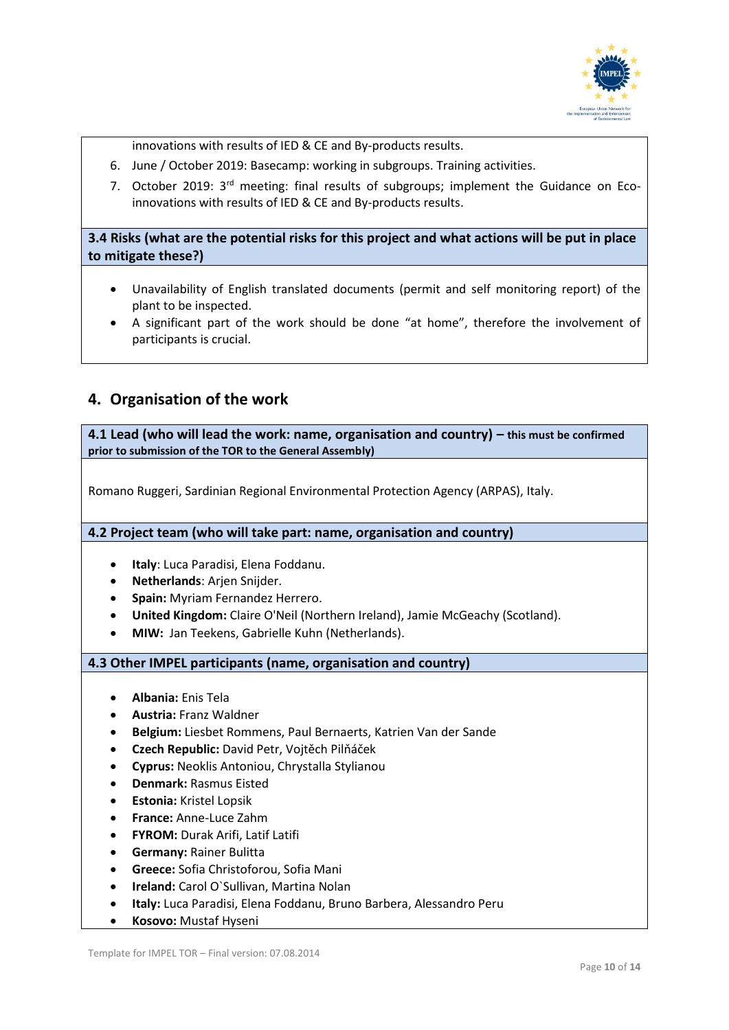

innovations with results of IED & CE and By-products results.

- 6. June / October 2019: Basecamp: working in subgroups. Training activities.
- 7. October 2019: 3<sup>rd</sup> meeting: final results of subgroups; implement the Guidance on Ecoinnovations with results of IED & CE and By-products results.

**3.4 Risks (what are the potential risks for this project and what actions will be put in place to mitigate these?)**

- Unavailability of English translated documents (permit and self monitoring report) of the plant to be inspected.
- A significant part of the work should be done "at home", therefore the involvement of participants is crucial.

# **4. Organisation of the work**

**4.1 Lead (who will lead the work: name, organisation and country) – this must be confirmed prior to submission of the TOR to the General Assembly)**

Romano Ruggeri, Sardinian Regional Environmental Protection Agency (ARPAS), Italy.

**4.2 Project team (who will take part: name, organisation and country)** 

- **Italy**: Luca Paradisi, Elena Foddanu.
- **Netherlands**: Arjen Snijder.
- **Spain:** Myriam Fernandez Herrero.
- **United Kingdom:** Claire O'Neil (Northern Ireland), Jamie McGeachy (Scotland).
- **MIW:** Jan Teekens, Gabrielle Kuhn (Netherlands).

**4.3 Other IMPEL participants (name, organisation and country)**

- **Albania:** Enis Tela
- **Austria:** Franz Waldner
- **Belgium:** Liesbet Rommens, Paul Bernaerts, Katrien Van der Sande
- **Czech Republic:** David Petr, Vojtěch Pilňáček
- **Cyprus:** Neoklis Antoniou, Chrystalla Stylianou
- **Denmark:** Rasmus Eisted
- **Estonia:** Kristel Lopsik
- **France:** Anne-Luce Zahm
- **FYROM:** Durak Arifi, Latif Latifi
- **Germany:** Rainer Bulitta
- **Greece:** Sofia Christoforou, Sofia Mani
- **Ireland:** Carol O`Sullivan, Martina Nolan
- **Italy:** Luca Paradisi, Elena Foddanu, Bruno Barbera, Alessandro Peru
- **Kosovo:** Mustaf Hyseni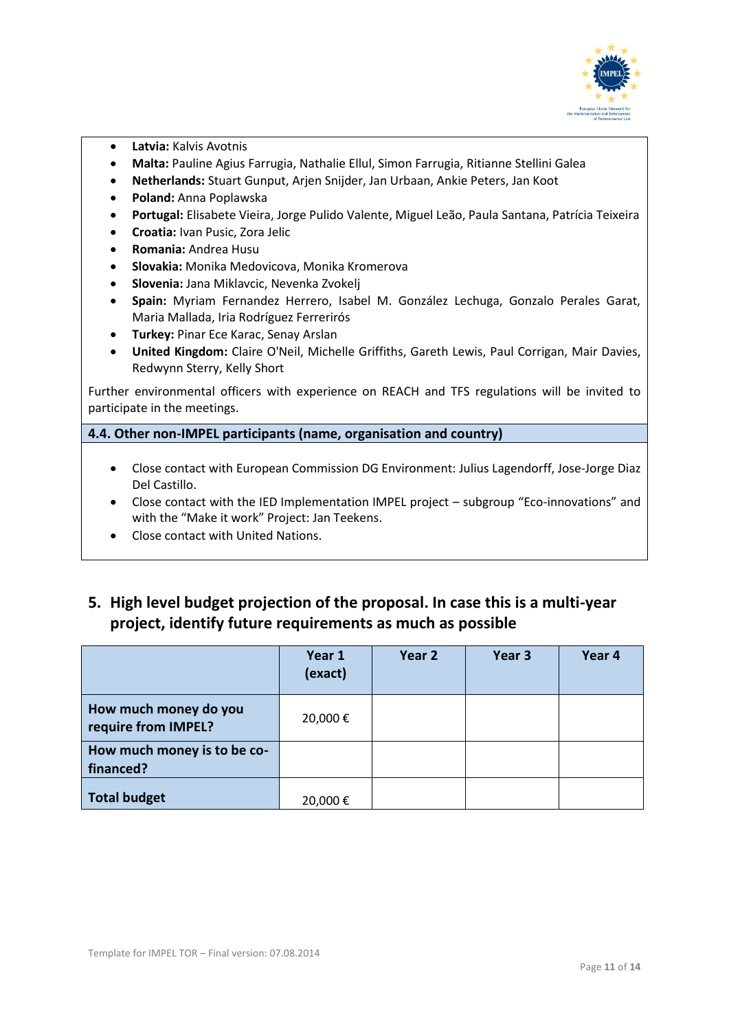

- **Latvia:** Kalvis Avotnis
- **Malta:** Pauline Agius Farrugia, Nathalie Ellul, Simon Farrugia, Ritianne Stellini Galea
- **Netherlands:** Stuart Gunput, Arjen Snijder, Jan Urbaan, Ankie Peters, Jan Koot
- **Poland:** Anna Poplawska
- **Portugal:** Elisabete Vieira, Jorge Pulido Valente, Miguel Leão, Paula Santana, Patrícia Teixeira
- **Croatia:** Ivan Pusic, Zora Jelic
- **Romania:** Andrea Husu
- **Slovakia:** Monika Medovicova, Monika Kromerova
- **Slovenia:** Jana Miklavcic, Nevenka Zvokelj
- **Spain:** Myriam Fernandez Herrero, Isabel M. González Lechuga, Gonzalo Perales Garat, Maria Mallada, Iria Rodríguez Ferrerirós
- **Turkey:** Pinar Ece Karac, Senay Arslan
- **United Kingdom:** Claire O'Neil, Michelle Griffiths, Gareth Lewis, Paul Corrigan, Mair Davies, Redwynn Sterry, Kelly Short

Further environmental officers with experience on REACH and TFS regulations will be invited to participate in the meetings.

**4.4. Other non-IMPEL participants (name, organisation and country)**

- Close contact with European Commission DG Environment: Julius Lagendorff, Jose-Jorge Diaz Del Castillo.
- Close contact with the IED Implementation IMPEL project subgroup "Eco-innovations" and with the "Make it work" Project: Jan Teekens.
- Close contact with United Nations.
- **5. High level budget projection of the proposal. In case this is a multi-year project, identify future requirements as much as possible**

|                                              | Year 1<br>(exact) | Year 2 | Year 3 | Year 4 |
|----------------------------------------------|-------------------|--------|--------|--------|
| How much money do you<br>require from IMPEL? | 20,000€           |        |        |        |
| How much money is to be co-<br>financed?     |                   |        |        |        |
| <b>Total budget</b>                          | 20,000€           |        |        |        |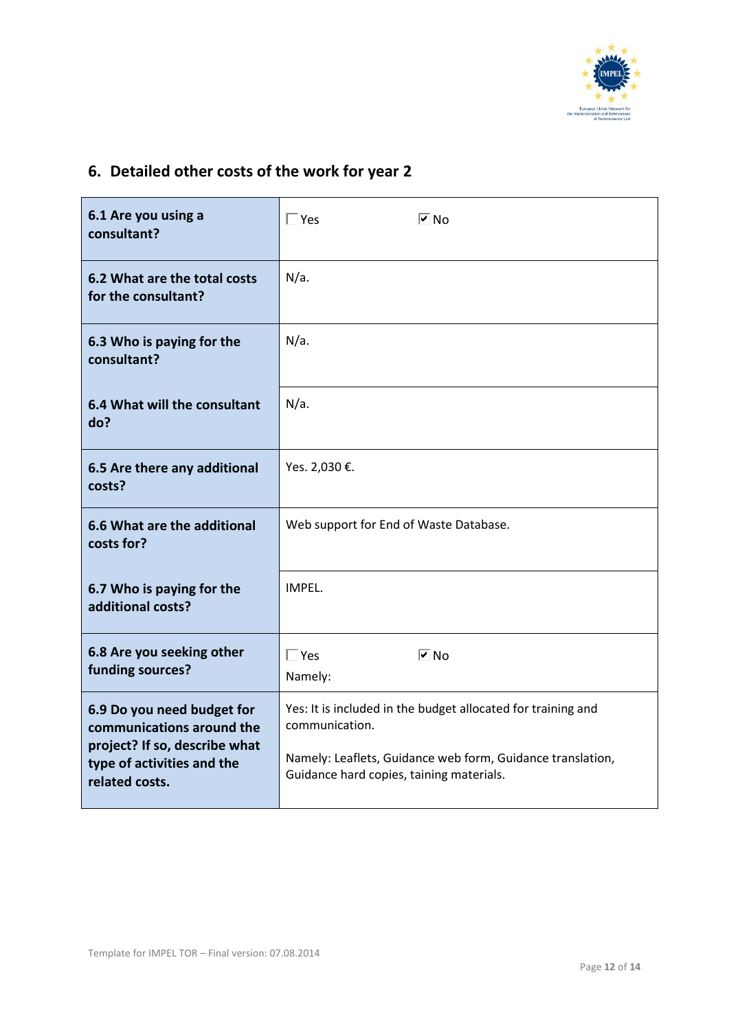

# **6. Detailed other costs of the work for year 2**

| 6.1 Are you using a<br>consultant?                                                                                                       | $\overline{V}$ No<br>$\Box$ Yes                                                                                                                                                          |  |
|------------------------------------------------------------------------------------------------------------------------------------------|------------------------------------------------------------------------------------------------------------------------------------------------------------------------------------------|--|
| 6.2 What are the total costs<br>for the consultant?                                                                                      | $N/a$ .                                                                                                                                                                                  |  |
| 6.3 Who is paying for the<br>consultant?                                                                                                 | $N/a$ .                                                                                                                                                                                  |  |
| 6.4 What will the consultant<br>do?                                                                                                      | $N/a$ .                                                                                                                                                                                  |  |
| 6.5 Are there any additional<br>costs?                                                                                                   | Yes. 2,030 €.                                                                                                                                                                            |  |
| 6.6 What are the additional<br>costs for?                                                                                                | Web support for End of Waste Database.                                                                                                                                                   |  |
| 6.7 Who is paying for the<br>additional costs?                                                                                           | IMPEL.                                                                                                                                                                                   |  |
| 6.8 Are you seeking other<br>funding sources?                                                                                            | $\overline{V}$ No<br>$\Box$ Yes<br>Namely:                                                                                                                                               |  |
| 6.9 Do you need budget for<br>communications around the<br>project? If so, describe what<br>type of activities and the<br>related costs. | Yes: It is included in the budget allocated for training and<br>communication.<br>Namely: Leaflets, Guidance web form, Guidance translation,<br>Guidance hard copies, taining materials. |  |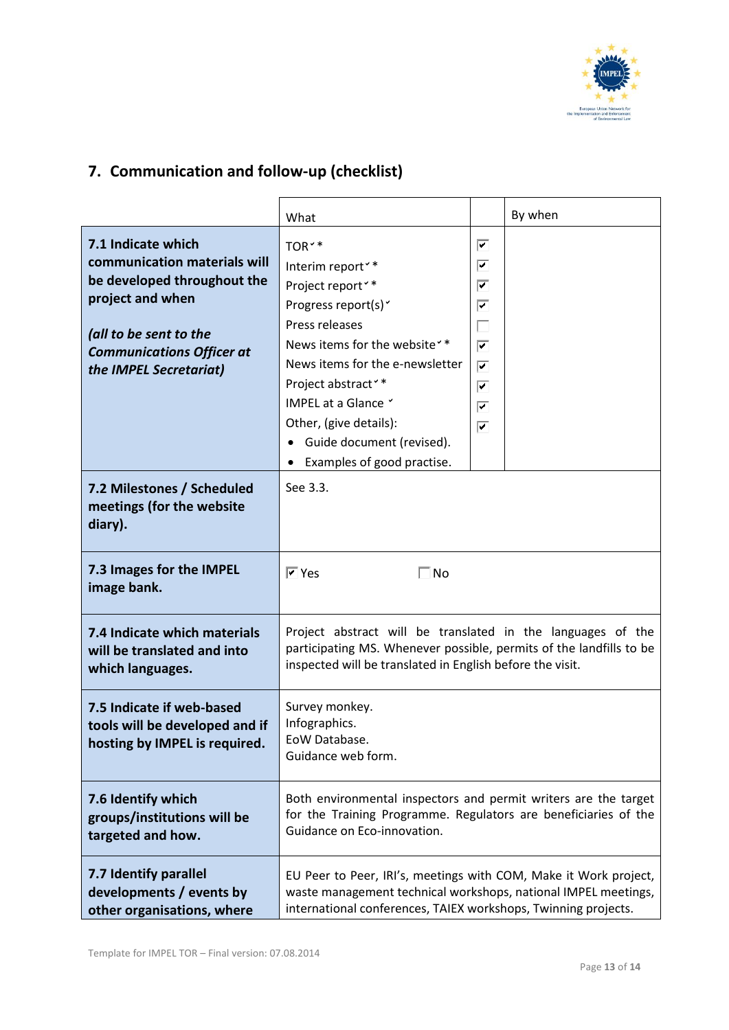

# **7. Communication and follow-up (checklist)**

|                                                                                                                                                                                               | What                                                                                                                                                                                                                                                                                                                                                                |                                                                      | By when |
|-----------------------------------------------------------------------------------------------------------------------------------------------------------------------------------------------|---------------------------------------------------------------------------------------------------------------------------------------------------------------------------------------------------------------------------------------------------------------------------------------------------------------------------------------------------------------------|----------------------------------------------------------------------|---------|
| 7.1 Indicate which<br>communication materials will<br>be developed throughout the<br>project and when<br>(all to be sent to the<br><b>Communications Officer at</b><br>the IMPEL Secretariat) | TOR <sup>*</sup><br>Interim report <sup>**</sup><br>Project report <sup>**</sup><br>Progress report(s) <sup>v</sup><br>Press releases<br>News items for the website <sup>*</sup> *<br>News items for the e-newsletter<br>Project abstract <sup>**</sup><br>IMPEL at a Glance Y<br>Other, (give details):<br>Guide document (revised).<br>Examples of good practise. | ⊽<br>⊽<br>⊽<br>⊽<br>П<br>$\overline{\mathbf{v}}$<br>⊽<br>⊽<br>⊽<br>⊽ |         |
| 7.2 Milestones / Scheduled<br>meetings (for the website<br>diary).                                                                                                                            | See 3.3.                                                                                                                                                                                                                                                                                                                                                            |                                                                      |         |
| 7.3 Images for the IMPEL<br>image bank.                                                                                                                                                       | $\overline{Y}$ Yes<br>$\Box$ No                                                                                                                                                                                                                                                                                                                                     |                                                                      |         |
| 7.4 Indicate which materials<br>will be translated and into<br>which languages.                                                                                                               | Project abstract will be translated in the languages of the<br>participating MS. Whenever possible, permits of the landfills to be<br>inspected will be translated in English before the visit.                                                                                                                                                                     |                                                                      |         |
| 7.5 Indicate if web-based<br>tools will be developed and if<br>hosting by IMPEL is required.                                                                                                  | Survey monkey.<br>Infographics.<br>EoW Database.<br>Guidance web form.                                                                                                                                                                                                                                                                                              |                                                                      |         |
| 7.6 Identify which<br>groups/institutions will be<br>targeted and how.                                                                                                                        | Both environmental inspectors and permit writers are the target<br>for the Training Programme. Regulators are beneficiaries of the<br>Guidance on Eco-innovation.                                                                                                                                                                                                   |                                                                      |         |
| 7.7 Identify parallel<br>developments / events by<br>other organisations, where                                                                                                               | EU Peer to Peer, IRI's, meetings with COM, Make it Work project,<br>waste management technical workshops, national IMPEL meetings,<br>international conferences, TAIEX workshops, Twinning projects.                                                                                                                                                                |                                                                      |         |